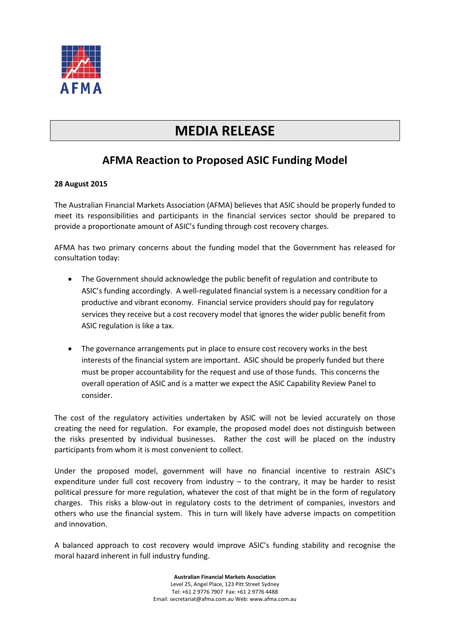

## **MEDIA RELEASE**

## **AFMA Reaction to Proposed ASIC Funding Model**

## **28 August 2015**

The Australian Financial Markets Association (AFMA) believes that ASIC should be properly funded to meet its responsibilities and participants in the financial services sector should be prepared to provide a proportionate amount of ASIC's funding through cost recovery charges.

AFMA has two primary concerns about the funding model that the Government has released for consultation today:

- The Government should acknowledge the public benefit of regulation and contribute to ASIC's funding accordingly. A well-regulated financial system is a necessary condition for a productive and vibrant economy. Financial service providers should pay for regulatory services they receive but a cost recovery model that ignores the wider public benefit from ASIC regulation is like a tax.
- The governance arrangements put in place to ensure cost recovery works in the best interests of the financial system are important. ASIC should be properly funded but there must be proper accountability for the request and use of those funds. This concerns the overall operation of ASIC and is a matter we expect the ASIC Capability Review Panel to consider.

The cost of the regulatory activities undertaken by ASIC will not be levied accurately on those creating the need for regulation. For example, the proposed model does not distinguish between the risks presented by individual businesses. Rather the cost will be placed on the industry participants from whom it is most convenient to collect.

Under the proposed model, government will have no financial incentive to restrain ASIC's expenditure under full cost recovery from industry – to the contrary, it may be harder to resist political pressure for more regulation, whatever the cost of that might be in the form of regulatory charges. This risks a blow-out in regulatory costs to the detriment of companies, investors and others who use the financial system. This in turn will likely have adverse impacts on competition and innovation.

A balanced approach to cost recovery would improve ASIC's funding stability and recognise the moral hazard inherent in full industry funding.